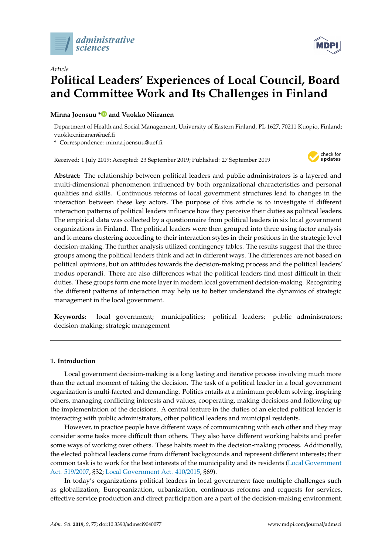



# *Article* **Political Leaders' Experiences of Local Council, Board and Committee Work and Its Challenges in Finland**

# **Minna Joensuu [\\*](https://orcid.org/0000-0003-0830-4220) and Vuokko Niiranen**

Department of Health and Social Management, University of Eastern Finland, PL 1627, 70211 Kuopio, Finland; vuokko.niiranen@uef.fi

**\*** Correspondence: minna.joensuu@uef.fi

Received: 1 July 2019; Accepted: 23 September 2019; Published: 27 September 2019



**Abstract:** The relationship between political leaders and public administrators is a layered and multi-dimensional phenomenon influenced by both organizational characteristics and personal qualities and skills. Continuous reforms of local government structures lead to changes in the interaction between these key actors. The purpose of this article is to investigate if different interaction patterns of political leaders influence how they perceive their duties as political leaders. The empirical data was collected by a questionnaire from political leaders in six local government organizations in Finland. The political leaders were then grouped into three using factor analysis and k-means clustering according to their interaction styles in their positions in the strategic level decision-making. The further analysis utilized contingency tables. The results suggest that the three groups among the political leaders think and act in different ways. The differences are not based on political opinions, but on attitudes towards the decision-making process and the political leaders' modus operandi. There are also differences what the political leaders find most difficult in their duties. These groups form one more layer in modern local government decision-making. Recognizing the different patterns of interaction may help us to better understand the dynamics of strategic management in the local government.

**Keywords:** local government; municipalities; political leaders; public administrators; decision-making; strategic management

## **1. Introduction**

Local government decision-making is a long lasting and iterative process involving much more than the actual moment of taking the decision. The task of a political leader in a local government organization is multi-faceted and demanding. Politics entails at a minimum problem solving, inspiring others, managing conflicting interests and values, cooperating, making decisions and following up the implementation of the decisions. A central feature in the duties of an elected political leader is interacting with public administrators, other political leaders and municipal residents.

However, in practice people have different ways of communicating with each other and they may consider some tasks more difficult than others. They also have different working habits and prefer some ways of working over others. These habits meet in the decision-making process. Additionally, the elected political leaders come from different backgrounds and represent different interests; their common task is to work for the best interests of the municipality and its residents [\(Local Government](#page-17-0) [Act. 519](#page-17-0)/2007, §32; [Local Government Act. 410](#page-16-0)/2015, §69).

In today's organizations political leaders in local government face multiple challenges such as globalization, Europeanization, urbanization, continuous reforms and requests for services, effective service production and direct participation are a part of the decision-making environment.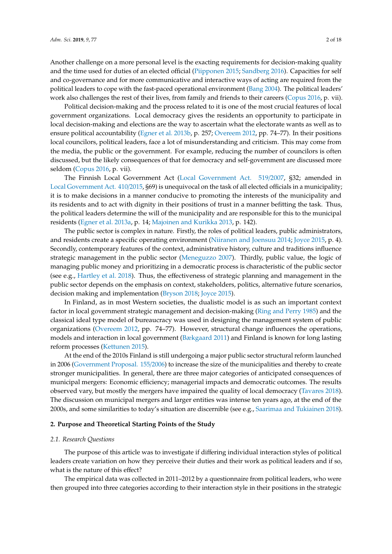Another challenge on a more personal level is the exacting requirements for decision-making quality and the time used for duties of an elected official [\(Piipponen](#page-17-1) [2015;](#page-17-1) [Sandberg](#page-17-2) [2016\)](#page-17-2). Capacities for self and co-governance and for more communicative and interactive ways of acting are required from the political leaders to cope with the fast-paced operational environment [\(Bang](#page-16-1) [2004\)](#page-16-1). The political leaders' work also challenges the rest of their lives, from family and friends to their careers [\(Copus](#page-16-2) [2016,](#page-16-2) p. vii).

Political decision-making and the process related to it is one of the most crucial features of local government organizations. Local democracy gives the residents an opportunity to participate in local decision-making and elections are the way to ascertain what the electorate wants as well as to ensure political accountability [\(Egner et al.](#page-16-3) [2013b,](#page-16-3) p. 257; [Overeem](#page-17-3) [2012,](#page-17-3) pp. 74–77). In their positions local councilors, political leaders, face a lot of misunderstanding and criticism. This may come from the media, the public or the government. For example, reducing the number of councilors is often discussed, but the likely consequences of that for democracy and self-government are discussed more seldom [\(Copus](#page-16-2) [2016,](#page-16-2) p. vii).

The Finnish Local Government Act [\(Local Government Act. 519](#page-17-0)/2007, §32; amended in [Local Government Act. 410](#page-16-0)/2015, §69) is unequivocal on the task of all elected officials in a municipality; it is to make decisions in a manner conducive to promoting the interests of the municipality and its residents and to act with dignity in their positions of trust in a manner befitting the task. Thus, the political leaders determine the will of the municipality and are responsible for this to the municipal residents [\(Egner et al.](#page-16-4) [2013a,](#page-16-4) p. 14; [Majoinen and Kurikka](#page-17-4) [2013,](#page-17-4) p. 142).

The public sector is complex in nature. Firstly, the roles of political leaders, public administrators, and residents create a specific operating environment [\(Niiranen and Joensuu](#page-17-5) [2014;](#page-17-5) [Joyce](#page-16-5) [2015,](#page-16-5) p. 4). Secondly, contemporary features of the context, administrative history, culture and traditions influence strategic management in the public sector [\(Meneguzzo](#page-17-6) [2007\)](#page-17-6). Thirdly, public value, the logic of managing public money and prioritizing in a democratic process is characteristic of the public sector (see e.g., [Hartley et al.](#page-16-6) [2018\)](#page-16-6). Thus, the effectiveness of strategic planning and management in the public sector depends on the emphasis on context, stakeholders, politics, alternative future scenarios, decision making and implementation [\(Bryson](#page-16-7) [2018;](#page-16-7) [Joyce](#page-16-5) [2015\)](#page-16-5).

In Finland, as in most Western societies, the dualistic model is as such an important context factor in local government strategic management and decision-making [\(Ring and Perry](#page-17-7) [1985\)](#page-17-7) and the classical ideal type model of bureaucracy was used in designing the management system of public organizations [\(Overeem](#page-17-3) [2012,](#page-17-3) pp. 74–77). However, structural change influences the operations, models and interaction in local government [\(Bækgaard](#page-16-8) [2011\)](#page-16-8) and Finland is known for long lasting reform processes [\(Kettunen](#page-16-9) [2015\)](#page-16-9).

At the end of the 2010s Finland is still undergoing a major public sector structural reform launched in 2006 [\(Government Proposal. 155](#page-16-10)/2006) to increase the size of the municipalities and thereby to create stronger municipalities. In general, there are three major categories of anticipated consequences of municipal mergers: Economic efficiency; managerial impacts and democratic outcomes. The results observed vary, but mostly the mergers have impaired the quality of local democracy [\(Tavares](#page-17-8) [2018\)](#page-17-8). The discussion on municipal mergers and larger entities was intense ten years ago, at the end of the 2000s, and some similarities to today's situation are discernible (see e.g., [Saarimaa and Tukiainen](#page-17-9) [2018\)](#page-17-9).

#### **2. Purpose and Theoretical Starting Points of the Study**

#### *2.1. Research Questions*

The purpose of this article was to investigate if differing individual interaction styles of political leaders create variation on how they perceive their duties and their work as political leaders and if so, what is the nature of this effect?

The empirical data was collected in 2011–2012 by a questionnaire from political leaders, who were then grouped into three categories according to their interaction style in their positions in the strategic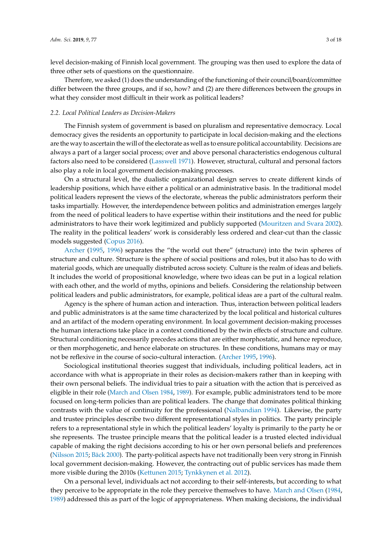level decision-making of Finnish local government. The grouping was then used to explore the data of three other sets of questions on the questionnaire.

Therefore, we asked (1) does the understanding of the functioning of their council/board/committee differ between the three groups, and if so, how? and (2) are there differences between the groups in what they consider most difficult in their work as political leaders?

## *2.2. Local Political Leaders as Decision-Makers*

The Finnish system of government is based on pluralism and representative democracy. Local democracy gives the residents an opportunity to participate in local decision-making and the elections are the way to ascertain the will of the electorate as well as to ensure political accountability. Decisions are always a part of a larger social process; over and above personal characteristics endogenous cultural factors also need to be considered [\(Lasswell](#page-16-11) [1971\)](#page-16-11). However, structural, cultural and personal factors also play a role in local government decision-making processes.

On a structural level, the dualistic organizational design serves to create different kinds of leadership positions, which have either a political or an administrative basis. In the traditional model political leaders represent the views of the electorate, whereas the public administrators perform their tasks impartially. However, the interdependence between politics and administration emerges largely from the need of political leaders to have expertise within their institutions and the need for public administrators to have their work legitimized and publicly supported [\(Mouritzen and Svara](#page-17-10) [2002\)](#page-17-10). The reality in the political leaders' work is considerably less ordered and clear-cut than the classic models suggested [\(Copus](#page-16-2) [2016\)](#page-16-2).

[Archer](#page-16-12) [\(1995,](#page-16-12) [1996\)](#page-16-13) separates the "the world out there" (structure) into the twin spheres of structure and culture. Structure is the sphere of social positions and roles, but it also has to do with material goods, which are unequally distributed across society. Culture is the realm of ideas and beliefs. It includes the world of propositional knowledge, where two ideas can be put in a logical relation with each other, and the world of myths, opinions and beliefs. Considering the relationship between political leaders and public administrators, for example, political ideas are a part of the cultural realm.

Agency is the sphere of human action and interaction. Thus, interaction between political leaders and public administrators is at the same time characterized by the local political and historical cultures and an artifact of the modern operating environment. In local government decision-making processes the human interactions take place in a context conditioned by the twin effects of structure and culture. Structural conditioning necessarily precedes actions that are either morphostatic, and hence reproduce, or then morphogenetic, and hence elaborate on structures. In these conditions, humans may or may not be reflexive in the course of socio-cultural interaction. [\(Archer](#page-16-12) [1995,](#page-16-12) [1996\)](#page-16-13).

Sociological institutional theories suggest that individuals, including political leaders, act in accordance with what is appropriate in their roles as decision-makers rather than in keeping with their own personal beliefs. The individual tries to pair a situation with the action that is perceived as eligible in their role [\(March and Olsen](#page-17-11) [1984,](#page-17-11) [1989\)](#page-17-12). For example, public administrators tend to be more focused on long-term policies than are political leaders. The change that dominates political thinking contrasts with the value of continuity for the professional [\(Nalbandian](#page-17-13) [1994\)](#page-17-13). Likewise, the party and trustee principles describe two different representational styles in politics. The party principle refers to a representational style in which the political leaders' loyalty is primarily to the party he or she represents. The trustee principle means that the political leader is a trusted elected individual capable of making the right decisions according to his or her own personal beliefs and preferences [\(Nilsson](#page-17-14) [2015;](#page-17-14) [Bäck](#page-16-14) [2000\)](#page-16-14). The party-political aspects have not traditionally been very strong in Finnish local government decision-making. However, the contracting out of public services has made them more visible during the 2010s [\(Kettunen](#page-16-9) [2015;](#page-16-9) [Tynkkynen et al.](#page-17-15) [2012\)](#page-17-15).

On a personal level, individuals act not according to their self-interests, but according to what they perceive to be appropriate in the role they perceive themselves to have. [March and Olsen](#page-17-11) [\(1984,](#page-17-11) [1989\)](#page-17-12) addressed this as part of the logic of appropriateness. When making decisions, the individual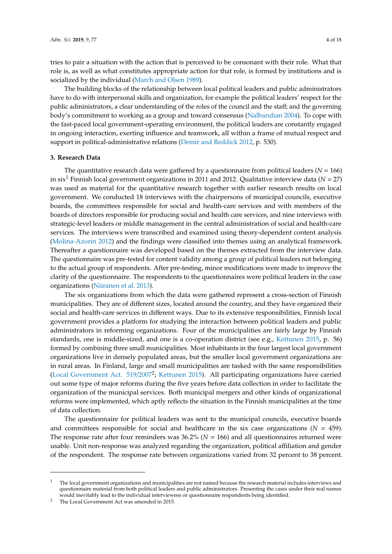tries to pair a situation with the action that is perceived to be consonant with their role. What that role is, as well as what constitutes appropriate action for that role, is formed by institutions and is socialized by the individual [\(March and Olsen](#page-17-12) [1989\)](#page-17-12).

The building blocks of the relationship between local political leaders and public administrators have to do with interpersonal skills and organization, for example the political leaders' respect for the public administrators, a clear understanding of the roles of the council and the staff; and the governing body's commitment to working as a group and toward consensus [\(Nalbandian](#page-17-16) [2004\)](#page-17-16). To cope with the fast-paced local government-operating environment, the political leaders are constantly engaged in ongoing interaction, exerting influence and teamwork, all within a frame of mutual respect and support in political-administrative relations [\(Demir and Reddick](#page-16-15) [2012,](#page-16-15) p. 530).

## **3. Research Data**

The quantitative research data were gathered by a questionnaire from political leaders ( $N = 166$ ) in six<sup>1</sup> Finnish local government organizations in 2011 and 2012. Qualitative interview data ( $N = 27$ ) was used as material for the quantitative research together with earlier research results on local government. We conducted 18 interviews with the chairpersons of municipal councils, executive boards, the committees responsible for social and health-care services and with members of the boards of directors responsible for producing social and health care services, and nine interviews with strategic-level leaders or middle management in the central administration of social and health-care services. The interviews were transcribed and examined using theory-dependent content analysis [\(Molina-Azorin](#page-17-17) [2012\)](#page-17-17) and the findings were classified into themes using an analytical framework. Thereafter a questionnaire was developed based on the themes extracted from the interview data. The questionnaire was pre-tested for content validity among a group of political leaders not belonging to the actual group of respondents. After pre-testing, minor modifications were made to improve the clarity of the questionnaire. The respondents to the questionnaires were political leaders in the case organizations [\(Niiranen et al.](#page-17-18) [2013\)](#page-17-18).

The six organizations from which the data were gathered represent a cross-section of Finnish municipalities. They are of different sizes, located around the country, and they have organized their social and health-care services in different ways. Due to its extensive responsibilities, Finnish local government provides a platform for studying the interaction between political leaders and public administrators in reforming organizations. Four of the municipalities are fairly large by Finnish standards, one is middle-sized, and one is a co-operation district (see e.g., [Kettunen](#page-16-9) [2015,](#page-16-9) p. 56) formed by combining three small municipalities. Most inhabitants in the four largest local government organizations live in densely populated areas, but the smaller local government organizations are in rural areas. In Finland, large and small municipalities are tasked with the same responsibilities [\(Local Government Act. 519](#page-17-0)/2007<sup>2</sup>; [Kettunen](#page-16-9) [2015\)](#page-16-9). All participating organizations have carried out some type of major reforms during the five years before data collection in order to facilitate the organization of the municipal services. Both municipal mergers and other kinds of organizational reforms were implemented, which aptly reflects the situation in the Finnish municipalities at the time of data collection.

The questionnaire for political leaders was sent to the municipal councils, executive boards and committees responsible for social and healthcare in the six case organizations ( $N = 459$ ). The response rate after four reminders was  $36.2\%$  ( $N = 166$ ) and all questionnaires returned were usable. Unit non-response was analyzed regarding the organization, political affiliation and gender of the respondent. The response rate between organizations varied from 32 percent to 38 percent.

 $1$  The local government organizations and municipalities are not named because the research material includes interviews and questionnaire material from both political leaders and public administrators. Presenting the cases under their real names would inevitably lead to the individual interviewees or questionnaire respondents being identified.

<sup>2</sup> The Local Government Act was amended in 2015.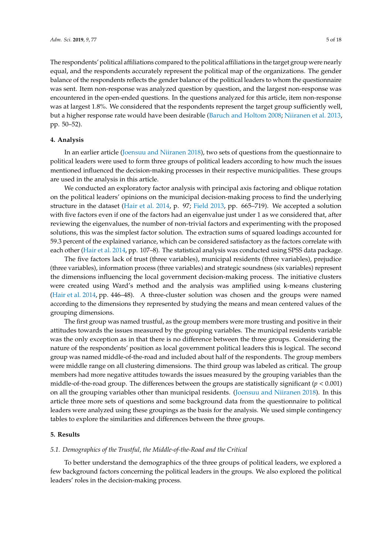The respondents' political affiliations compared to the political affiliations in the target group were nearly equal, and the respondents accurately represent the political map of the organizations. The gender balance of the respondents reflects the gender balance of the political leaders to whom the questionnaire was sent. Item non-response was analyzed question by question, and the largest non-response was encountered in the open-ended questions. In the questions analyzed for this article, item non-response was at largest 1.8%. We considered that the respondents represent the target group sufficiently well, but a higher response rate would have been desirable [\(Baruch and Holtom](#page-16-16) [2008;](#page-16-16) [Niiranen et al.](#page-17-18) [2013,](#page-17-18) pp. 50–52).

# **4. Analysis**

In an earlier article [\(Joensuu and Niiranen](#page-16-17) [2018\)](#page-16-17), two sets of questions from the questionnaire to political leaders were used to form three groups of political leaders according to how much the issues mentioned influenced the decision-making processes in their respective municipalities. These groups are used in the analysis in this article.

We conducted an exploratory factor analysis with principal axis factoring and oblique rotation on the political leaders' opinions on the municipal decision-making process to find the underlying structure in the dataset [\(Hair et al.](#page-16-18) [2014,](#page-16-18) p. 97; [Field](#page-16-19) [2013,](#page-16-19) pp. 665–719). We accepted a solution with five factors even if one of the factors had an eigenvalue just under 1 as we considered that, after reviewing the eigenvalues, the number of non-trivial factors and experimenting with the proposed solutions, this was the simplest factor solution. The extraction sums of squared loadings accounted for 59.3 percent of the explained variance, which can be considered satisfactory as the factors correlate with each other [\(Hair et al.](#page-16-18) [2014,](#page-16-18) pp. 107–8). The statistical analysis was conducted using SPSS data package.

The five factors lack of trust (three variables), municipal residents (three variables), prejudice (three variables), information process (three variables) and strategic soundness (six variables) represent the dimensions influencing the local government decision-making process. The initiative clusters were created using Ward's method and the analysis was amplified using k-means clustering [\(Hair et al.](#page-16-18) [2014,](#page-16-18) pp. 446–48). A three-cluster solution was chosen and the groups were named according to the dimensions they represented by studying the means and mean centered values of the grouping dimensions.

The first group was named trustful, as the group members were more trusting and positive in their attitudes towards the issues measured by the grouping variables. The municipal residents variable was the only exception as in that there is no difference between the three groups. Considering the nature of the respondents' position as local government political leaders this is logical. The second group was named middle-of-the-road and included about half of the respondents. The group members were middle range on all clustering dimensions. The third group was labeled as critical. The group members had more negative attitudes towards the issues measured by the grouping variables than the middle-of-the-road group. The differences between the groups are statistically significant  $(p < 0.001)$ on all the grouping variables other than municipal residents. [\(Joensuu and Niiranen](#page-16-17) [2018\)](#page-16-17). In this article three more sets of questions and some background data from the questionnaire to political leaders were analyzed using these groupings as the basis for the analysis. We used simple contingency tables to explore the similarities and differences between the three groups.

## **5. Results**

## *5.1. Demographics of the Trustful, the Middle-of-the-Road and the Critical*

To better understand the demographics of the three groups of political leaders, we explored a few background factors concerning the political leaders in the groups. We also explored the political leaders' roles in the decision-making process.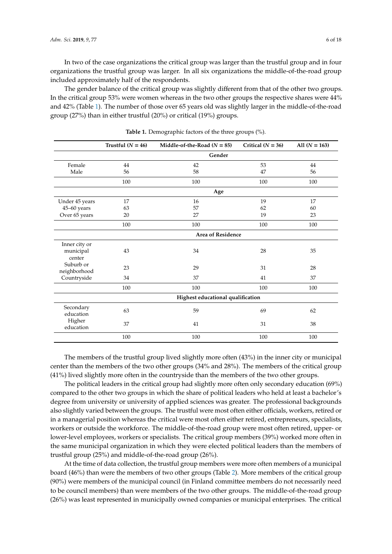In two of the case organizations the critical group was larger than the trustful group and in four organizations the trustful group was larger. In all six organizations the middle-of-the-road group included approximately half of the respondents.

The gender balance of the critical group was slightly different from that of the other two groups. In the critical group 53% were women whereas in the two other groups the respective shares were 44% and 42% (Table [1\)](#page-5-0). The number of those over 65 years old was slightly larger in the middle-of-the-road group (27%) than in either trustful (20%) or critical (19%) groups.

<span id="page-5-0"></span>

|                                      | Trustful $(N = 46)$ | Middle-of-the-Road $(N = 85)$     | Critical $(N = 36)$ | All $(N = 163)$ |
|--------------------------------------|---------------------|-----------------------------------|---------------------|-----------------|
|                                      |                     | Gender                            |                     |                 |
| Female                               | 44                  | 42                                | 53                  | 44              |
| Male                                 | 56                  | 58                                | 47                  | 56              |
|                                      | 100                 | 100                               | 100                 | 100             |
|                                      |                     | Age                               |                     |                 |
| Under 45 years                       | 17                  | 16                                | 19                  | 17              |
| $45-60$ years                        | 63                  | 57                                | 62                  | 60              |
| Over 65 years                        | 20                  | 27                                | 19                  | 23              |
|                                      | 100                 | 100                               | 100                 | 100             |
|                                      |                     | <b>Area of Residence</b>          |                     |                 |
| Inner city or<br>municipal<br>center | 43                  | 34                                | 28                  | 35              |
| Suburb or<br>neighborhood            | 23                  | 29                                | 31                  | 28              |
| Countryside                          | 34                  | 37                                | 41                  | 37              |
|                                      | 100                 | 100                               | 100                 | 100             |
|                                      |                     | Highest educational qualification |                     |                 |
| Secondary<br>education               | 63                  | 59                                | 69                  | 62              |
| Higher<br>education                  | 37                  | 41                                | 31                  | 38              |
|                                      | 100                 | 100                               | 100                 | 100             |

**Table 1.** Demographic factors of the three groups (%).

The members of the trustful group lived slightly more often (43%) in the inner city or municipal center than the members of the two other groups (34% and 28%). The members of the critical group (41%) lived slightly more often in the countryside than the members of the two other groups.

The political leaders in the critical group had slightly more often only secondary education (69%) compared to the other two groups in which the share of political leaders who held at least a bachelor's degree from university or university of applied sciences was greater. The professional backgrounds also slightly varied between the groups. The trustful were most often either officials, workers, retired or in a managerial position whereas the critical were most often either retired, entrepreneurs, specialists, workers or outside the workforce. The middle-of-the-road group were most often retired, upper- or lower-level employees, workers or specialists. The critical group members (39%) worked more often in the same municipal organization in which they were elected political leaders than the members of trustful group (25%) and middle-of-the-road group (26%).

At the time of data collection, the trustful group members were more often members of a municipal board (46%) than were the members of two other groups (Table [2\)](#page-6-0). More members of the critical group (90%) were members of the municipal council (in Finland committee members do not necessarily need to be council members) than were members of the two other groups. The middle-of-the-road group (26%) was least represented in municipally owned companies or municipal enterprises. The critical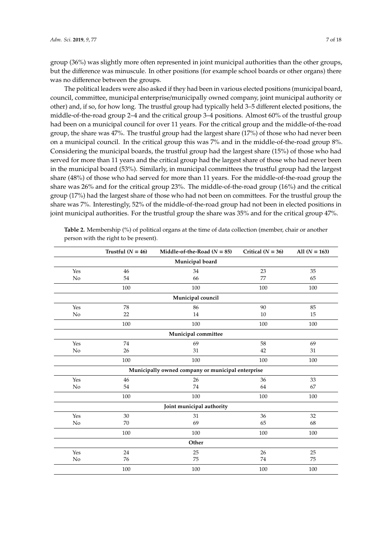group (36%) was slightly more often represented in joint municipal authorities than the other groups, but the difference was minuscule. In other positions (for example school boards or other organs) there was no difference between the groups.

The political leaders were also asked if they had been in various elected positions (municipal board, council, committee, municipal enterprise/municipally owned company, joint municipal authority or other) and, if so, for how long. The trustful group had typically held 3–5 different elected positions, the middle-of-the-road group 2–4 and the critical group 3–4 positions. Almost 60% of the trustful group had been on a municipal council for over 11 years. For the critical group and the middle-of-the-road group, the share was 47%. The trustful group had the largest share (17%) of those who had never been on a municipal council. In the critical group this was 7% and in the middle-of-the-road group 8%. Considering the municipal boards, the trustful group had the largest share (15%) of those who had served for more than 11 years and the critical group had the largest share of those who had never been in the municipal board (53%). Similarly, in municipal committees the trustful group had the largest share (48%) of those who had served for more than 11 years. For the middle-of-the-road group the share was 26% and for the critical group 23%. The middle-of-the-road group (16%) and the critical group (17%) had the largest share of those who had not been on committees. For the trustful group the share was 7%. Interestingly, 52% of the middle-of-the-road group had not been in elected positions in joint municipal authorities. For the trustful group the share was 35% and for the critical group 47%.

|     | Trustful $(N = 46)$ | Middle-of-the-Road ( $N = 85$ )                   | Critical $(N = 36)$ | All $(N = 163)$ |
|-----|---------------------|---------------------------------------------------|---------------------|-----------------|
|     |                     | Municipal board                                   |                     |                 |
| Yes | 46                  | 34                                                | 23                  | 35              |
| No  | 54                  | 66                                                | 77                  | 65              |
|     | 100                 | 100                                               | 100                 | 100             |
|     |                     | Municipal council                                 |                     |                 |
| Yes | 78                  | 86                                                | 90                  | 85              |
| No  | 22                  | 14                                                | $10\,$              | 15              |
|     | 100                 | 100                                               | 100                 | 100             |
|     |                     | Municipal committee                               |                     |                 |
| Yes | 74                  | 69                                                | 58                  | 69              |
| No  | 26                  | 31                                                | 42                  | 31              |
|     | 100                 | 100                                               | 100                 | 100             |
|     |                     | Municipally owned company or municipal enterprise |                     |                 |
| Yes | 46                  | 26                                                | 36                  | 33              |
| No  | 54                  | 74                                                | 64                  | 67              |
|     | 100                 | 100                                               | 100                 | 100             |
|     |                     | Joint municipal authority                         |                     |                 |
| Yes | 30                  | 31                                                | 36                  | 32              |
| No  | 70                  | 69                                                | 65                  | 68              |
|     | 100                 | 100                                               | 100                 | 100             |
|     |                     | Other                                             |                     |                 |
| Yes | 24                  | 25                                                | 26                  | 25              |
| No  | 76                  | 75                                                | 74                  | 75              |
|     | 100                 | 100                                               | 100                 | 100             |

<span id="page-6-0"></span>**Table 2.** Membership (%) of political organs at the time of data collection (member, chair or another person with the right to be present).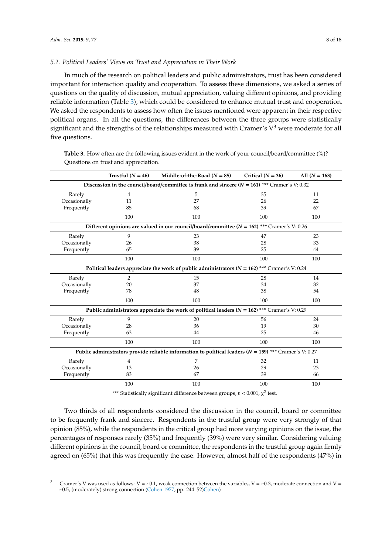## *5.2. Political Leaders' Views on Trust and Appreciation in Their Work*

In much of the research on political leaders and public administrators, trust has been considered important for interaction quality and cooperation. To assess these dimensions, we asked a series of questions on the quality of discussion, mutual appreciation, valuing different opinions, and providing reliable information (Table [3\)](#page-7-0), which could be considered to enhance mutual trust and cooperation. We asked the respondents to assess how often the issues mentioned were apparent in their respective political organs. In all the questions, the differences between the three groups were statistically significant and the strengths of the relationships measured with Cramer's  $V^3$  were moderate for all five questions.

|              | Trustful $(N = 46)$ | Middle-of-the-Road $(N = 85)$                                                                              | Critical $(N = 36)$ | All $(N = 163)$ |
|--------------|---------------------|------------------------------------------------------------------------------------------------------------|---------------------|-----------------|
|              |                     | Discussion in the council/board/committee is frank and sincere ( $N = 161$ ) *** Cramer's V: 0.32          |                     |                 |
| Rarely       | $\overline{4}$      | 5                                                                                                          | 35                  | 11              |
| Occasionally | 11                  | 27                                                                                                         | 26                  | 22              |
| Frequently   | 85                  | 68                                                                                                         | 39                  | 67              |
|              | 100                 | 100                                                                                                        | 100                 | 100             |
|              |                     | Different opinions are valued in our council/board/committee ( $N = 162$ ) *** Cramer's V: 0.26            |                     |                 |
| Rarely       | 9                   | 23                                                                                                         | 47                  | 23              |
| Occasionally | 26                  | 38                                                                                                         | 28                  | 33              |
| Frequently   | 65                  | 39                                                                                                         | 25                  | 44              |
|              | 100                 | 100                                                                                                        | 100                 | 100             |
|              |                     | Political leaders appreciate the work of public administrators ( $N = 162$ ) *** Cramer's V: 0.24          |                     |                 |
| Rarely       | 2                   | 15                                                                                                         | 28                  | 14              |
| Occasionally | 20                  | 37                                                                                                         | 34                  | 32              |
| Frequently   | 78                  | 48                                                                                                         | 38                  | 54              |
|              | 100                 | 100                                                                                                        | 100                 | 100             |
|              |                     | Public administrators appreciate the work of political leaders ( $N = 162$ ) *** Cramer's V: 0.29          |                     |                 |
| Rarely       | 9                   | 20                                                                                                         | 56                  | 24              |
| Occasionally | 28                  | 36                                                                                                         | 19                  | 30              |
| Frequently   | 63                  | 44                                                                                                         | 25                  | 46              |
|              | 100                 | 100                                                                                                        | 100                 | 100             |
|              |                     | Public administrators provide reliable information to political leaders ( $N = 159$ ) *** Cramer's V: 0.27 |                     |                 |
| Rarely       | $\overline{4}$      | 7                                                                                                          | 32                  | 11              |
| Occasionally | 13                  | 26                                                                                                         | 29                  | 23              |
| Frequently   | 83                  | 67                                                                                                         | 39                  | 66              |
|              | 100                 | 100                                                                                                        | 100                 | 100             |

<span id="page-7-0"></span>**Table 3.** How often are the following issues evident in the work of your council/board/committee (%)? Questions on trust and appreciation.

\*\*\* Statistically significant difference between groups,  $p < 0.001$ ,  $\chi^2$  test.

Two thirds of all respondents considered the discussion in the council, board or committee to be frequently frank and sincere. Respondents in the trustful group were very strongly of that opinion (85%), while the respondents in the critical group had more varying opinions on the issue, the percentages of responses rarely (35%) and frequently (39%) were very similar. Considering valuing different opinions in the council, board or committee, the respondents in the trustful group again firmly agreed on (65%) that this was frequently the case. However, almost half of the respondents (47%) in

<sup>&</sup>lt;sup>3</sup> Cramer's V was used as follows:  $V = \sim 0.1$ , weak connection between the variables,  $V = \sim 0.3$ , moderate connection and V = ~0.5, (moderately) strong connection [\(Cohen](#page-16-20) [1977,](#page-16-20) pp. 244–52[\)Cohen\)](#page-16-20)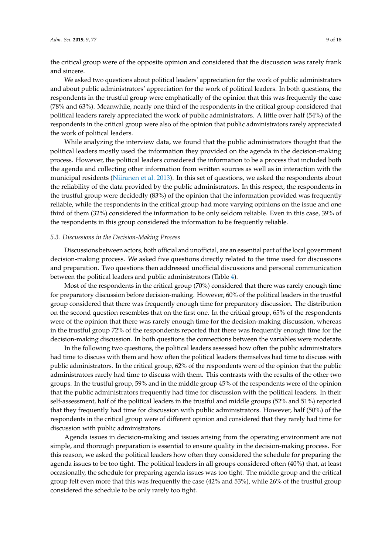the critical group were of the opposite opinion and considered that the discussion was rarely frank and sincere.

We asked two questions about political leaders' appreciation for the work of public administrators and about public administrators' appreciation for the work of political leaders. In both questions, the respondents in the trustful group were emphatically of the opinion that this was frequently the case (78% and 63%). Meanwhile, nearly one third of the respondents in the critical group considered that political leaders rarely appreciated the work of public administrators. A little over half (54%) of the respondents in the critical group were also of the opinion that public administrators rarely appreciated the work of political leaders.

While analyzing the interview data, we found that the public administrators thought that the political leaders mostly used the information they provided on the agenda in the decision-making process. However, the political leaders considered the information to be a process that included both the agenda and collecting other information from written sources as well as in interaction with the municipal residents [\(Niiranen et al.](#page-17-18) [2013\)](#page-17-18). In this set of questions, we asked the respondents about the reliability of the data provided by the public administrators. In this respect, the respondents in the trustful group were decidedly (83%) of the opinion that the information provided was frequently reliable, while the respondents in the critical group had more varying opinions on the issue and one third of them (32%) considered the information to be only seldom reliable. Even in this case, 39% of the respondents in this group considered the information to be frequently reliable.

#### *5.3. Discussions in the Decision-Making Process*

Discussions between actors, both official and unofficial, are an essential part of the local government decision-making process. We asked five questions directly related to the time used for discussions and preparation. Two questions then addressed unofficial discussions and personal communication between the political leaders and public administrators (Table [4\)](#page-9-0).

Most of the respondents in the critical group (70%) considered that there was rarely enough time for preparatory discussion before decision-making. However, 60% of the political leaders in the trustful group considered that there was frequently enough time for preparatory discussion. The distribution on the second question resembles that on the first one. In the critical group, 65% of the respondents were of the opinion that there was rarely enough time for the decision-making discussion, whereas in the trustful group 72% of the respondents reported that there was frequently enough time for the decision-making discussion. In both questions the connections between the variables were moderate.

In the following two questions, the political leaders assessed how often the public administrators had time to discuss with them and how often the political leaders themselves had time to discuss with public administrators. In the critical group, 62% of the respondents were of the opinion that the public administrators rarely had time to discuss with them. This contrasts with the results of the other two groups. In the trustful group, 59% and in the middle group 45% of the respondents were of the opinion that the public administrators frequently had time for discussion with the political leaders. In their self-assessment, half of the political leaders in the trustful and middle groups (52% and 51%) reported that they frequently had time for discussion with public administrators. However, half (50%) of the respondents in the critical group were of different opinion and considered that they rarely had time for discussion with public administrators.

Agenda issues in decision-making and issues arising from the operating environment are not simple, and thorough preparation is essential to ensure quality in the decision-making process. For this reason, we asked the political leaders how often they considered the schedule for preparing the agenda issues to be too tight. The political leaders in all groups considered often (40%) that, at least occasionally, the schedule for preparing agenda issues was too tight. The middle group and the critical group felt even more that this was frequently the case (42% and 53%), while 26% of the trustful group considered the schedule to be only rarely too tight.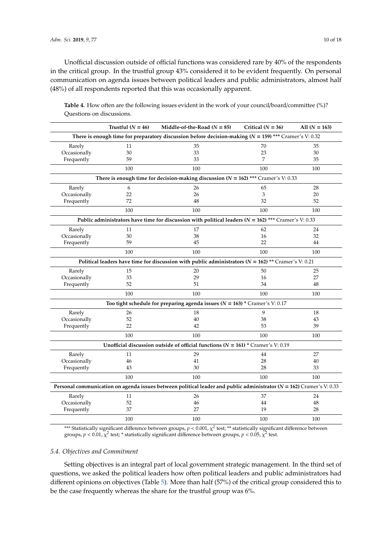Unofficial discussion outside of official functions was considered rare by 40% of the respondents in the critical group. In the trustful group 43% considered it to be evident frequently. On personal communication on agenda issues between political leaders and public administrators, almost half (48%) of all respondents reported that this was occasionally apparent.

|              | Trustful $(N = 46)$ | Middle-of-the-Road $(N = 85)$                                                                                            | Critical $(N = 36)$ | All $(N = 163)$ |
|--------------|---------------------|--------------------------------------------------------------------------------------------------------------------------|---------------------|-----------------|
|              |                     | There is enough time for preparatory discussion before decision-making ( $N = 159$ ) *** Cramer's V: 0.32                |                     |                 |
| Rarely       | 11                  | 35                                                                                                                       | 70                  | 35              |
| Occasionally | 30                  | 33                                                                                                                       | 23                  | 30              |
| Frequently   | 59                  | 33                                                                                                                       | 7                   | 35              |
|              | 100                 | 100                                                                                                                      | 100                 | 100             |
|              |                     | There is enough time for decision-making discussion ( $N = 162$ ) *** Cramer's V: 0.33                                   |                     |                 |
| Rarely       | 6                   | 26                                                                                                                       | 65                  | 28              |
| Occasionally | 22                  | 26                                                                                                                       | 3                   | 20              |
| Frequently   | 72                  | 48                                                                                                                       | 32                  | 52              |
|              | 100                 | 100                                                                                                                      | 100                 | 100             |
|              |                     | Public administrators have time for discussion with political leaders ( $N = 162$ ) *** Cramer's V: 0.33                 |                     |                 |
| Rarely       | 11                  | 17                                                                                                                       | 62                  | 24              |
| Occasionally | 30                  | 38                                                                                                                       | 16                  | 32              |
| Frequently   | 59                  | 45                                                                                                                       | 22                  | 44              |
|              | 100                 | 100                                                                                                                      | 100                 | 100             |
|              |                     | Political leaders have time for discussion with public administrators ( $N = 162$ ) ** Cramer's V: 0.21                  |                     |                 |
| Rarely       | 15                  | 20                                                                                                                       | 50                  | 25              |
| Occasionally | 33                  | 29                                                                                                                       | 16                  | 27              |
| Frequently   | 52                  | 51                                                                                                                       | 34                  | 48              |
|              | 100                 | 100                                                                                                                      | 100                 | 100             |
|              |                     | Too tight schedule for preparing agenda issues ( $N = 163$ ) * Cramer's V: 0.17                                          |                     |                 |
| Rarely       | 26                  | 18                                                                                                                       | 9                   | 18              |
| Occasionally | 52                  | 40                                                                                                                       | 38                  | 43              |
| Frequently   | 22                  | 42                                                                                                                       | 53                  | 39              |
|              | 100                 | 100                                                                                                                      | 100                 | 100             |
|              |                     | Unofficial discussion outside of official functions ( $N = 161$ ) * Cramer's V: 0.19                                     |                     |                 |
| Rarely       | 11                  | 29                                                                                                                       | 44                  | 27              |
| Occasionally | 46                  | 41                                                                                                                       | 28                  | 40              |
| Frequently   | 43                  | 30                                                                                                                       | 28                  | 33              |
|              | 100                 | 100                                                                                                                      | 100                 | 100             |
|              |                     | Personal communication on agenda issues between political leader and public administrator ( $N = 162$ ) Cramer's V: 0.33 |                     |                 |
| Rarely       | 11                  | 26                                                                                                                       | 37                  | 24              |
| Occasionally | 52                  | 46                                                                                                                       | 44                  | 48              |
| Frequently   | 37                  | 27                                                                                                                       | 19                  | 28              |
|              | 100                 | 100                                                                                                                      | 100                 | 100             |

<span id="page-9-0"></span>**Table 4.** How often are the following issues evident in the work of your council/board/committee (%)? Questions on discussions.

\*\*\* Statistically significant difference between groups,  $p < 0.001$ ,  $\chi^2$  test; \*\* statistically significant difference between groups,  $p < 0.01$ ,  $\chi^2$  test; \* statistically significant difference between groups,  $p < 0.05$ ,  $\chi^2$  test.

## *5.4. Objectives and Commitment*

Setting objectives is an integral part of local government strategic management. In the third set of questions, we asked the political leaders how often political leaders and public administrators had different opinions on objectives (Table [5\)](#page-10-0). More than half (57%) of the critical group considered this to be the case frequently whereas the share for the trustful group was 6%.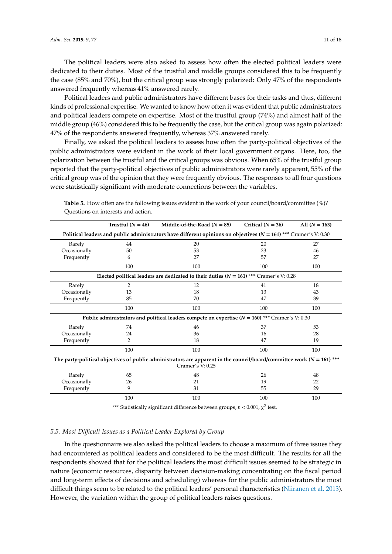The political leaders were also asked to assess how often the elected political leaders were dedicated to their duties. Most of the trustful and middle groups considered this to be frequently the case (85% and 70%), but the critical group was strongly polarized: Only 47% of the respondents answered frequently whereas 41% answered rarely.

Political leaders and public administrators have different bases for their tasks and thus, different kinds of professional expertise. We wanted to know how often it was evident that public administrators and political leaders compete on expertise. Most of the trustful group (74%) and almost half of the middle group (46%) considered this to be frequently the case, but the critical group was again polarized: 47% of the respondents answered frequently, whereas 37% answered rarely.

Finally, we asked the political leaders to assess how often the party-political objectives of the public administrators were evident in the work of their local government organs. Here, too, the polarization between the trustful and the critical groups was obvious. When 65% of the trustful group reported that the party-political objectives of public administrators were rarely apparent, 55% of the critical group was of the opinion that they were frequently obvious. The responses to all four questions were statistically significant with moderate connections between the variables.

|                                                                                                                      | Trustful $(N = 46)$ | Middle-of-the-Road $(N = 85)$                                                                                              | Critical $(N = 36)$ | All $(N = 163)$ |
|----------------------------------------------------------------------------------------------------------------------|---------------------|----------------------------------------------------------------------------------------------------------------------------|---------------------|-----------------|
| Political leaders and public administrators have different opinions on objectives ( $N = 161$ ) *** Cramer's V: 0.30 |                     |                                                                                                                            |                     |                 |
| Rarely                                                                                                               | 44                  | 20                                                                                                                         | 20                  | 27              |
| Occasionally                                                                                                         | 50                  | 53                                                                                                                         | 23                  | 46              |
| Frequently                                                                                                           | 6                   | 27                                                                                                                         | 57                  | 27              |
|                                                                                                                      | 100                 | 100                                                                                                                        | 100                 | 100             |
|                                                                                                                      |                     | Elected political leaders are dedicated to their duties ( $N = 161$ ) *** Cramer's V: 0.28                                 |                     |                 |
| Rarely                                                                                                               | 2                   | 12                                                                                                                         | 41                  | 18              |
| Occasionally                                                                                                         | 13                  | 18                                                                                                                         | 13                  | 43              |
| Frequently                                                                                                           | 85                  | 70                                                                                                                         | 47                  | 39              |
|                                                                                                                      | 100                 | 100                                                                                                                        | 100                 | 100             |
|                                                                                                                      |                     | Public administrators and political leaders compete on expertise ( $N = 160$ ) *** Cramer's V: 0.30                        |                     |                 |
| Rarely                                                                                                               | 74                  | 46                                                                                                                         | 37                  | 53              |
| Occasionally                                                                                                         | 24                  | 36                                                                                                                         | 16                  | 28              |
| Frequently                                                                                                           | 2                   | 18                                                                                                                         | 47                  | 19              |
|                                                                                                                      | 100                 | 100                                                                                                                        | 100                 | 100             |
|                                                                                                                      |                     | The party-political objectives of public administrators are apparent in the council/board/committee work ( $N = 161$ ) *** |                     |                 |
|                                                                                                                      |                     | Cramer's V: 0.25                                                                                                           |                     |                 |
| Rarely                                                                                                               | 65                  | 48                                                                                                                         | 26                  | 48              |
| Occasionally                                                                                                         | 26                  | 21                                                                                                                         | 19                  | 22              |
| Frequently                                                                                                           | 9                   | 31                                                                                                                         | 55                  | 29              |
|                                                                                                                      | 100                 | 100                                                                                                                        | 100                 | 100             |

<span id="page-10-0"></span>**Table 5.** How often are the following issues evident in the work of your council/board/committee (%)? Questions on interests and action.

\*\*\* Statistically significant difference between groups,  $p < 0.001$ ,  $\chi^2$  test.

## *5.5. Most Di*ffi*cult Issues as a Political Leader Explored by Group*

In the questionnaire we also asked the political leaders to choose a maximum of three issues they had encountered as political leaders and considered to be the most difficult. The results for all the respondents showed that for the political leaders the most difficult issues seemed to be strategic in nature (economic resources, disparity between decision-making concentrating on the fiscal period and long-term effects of decisions and scheduling) whereas for the public administrators the most difficult things seem to be related to the political leaders' personal characteristics [\(Niiranen et al.](#page-17-18) [2013\)](#page-17-18). However, the variation within the group of political leaders raises questions.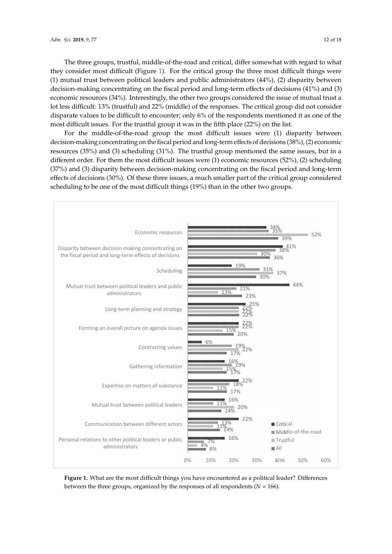The three groups, trustful, middle-of-the-road and critical, differ somewhat with regard to what they consider most difficult (Figure [1\)](#page-11-0). For the critical group the three most difficult things were (1) mutual trust between political leaders and public administrators (44%), (2) disparity between decision-making concentrating on the fiscal period and long-term effects of decisions (41%) and (3) economic resources (34%). Interestingly, the other two groups considered the issue of mutual trust a lot less difficult: 13% (trustful) and 22% (middle) of the responses. The critical group did not consider disparate values to be difficult to encounter; only 6% of the respondents mentioned it as one of the most difficult issues. For the trustful group it was in the fifth place (22%) on the list.

For the middle-of-the-road group the most difficult issues were (1) disparity between decision-making concentrating on the fiscal period and long-term effects of decisions (38%), (2) economic resources (35%) and (3) scheduling (31%). The trustful group mentioned the same issues, but in a different order. For them the most difficult issues were (1) economic resources (52%), (2) scheduling (37%) and (3) disparity between decision-making concentrating on the fiscal period and long-term effects of decisions (30%). Of these three issues, a much smaller part of the critical group considered scheduling to be one of the most difficult things (19%) than in the other two groups.

<span id="page-11-0"></span>

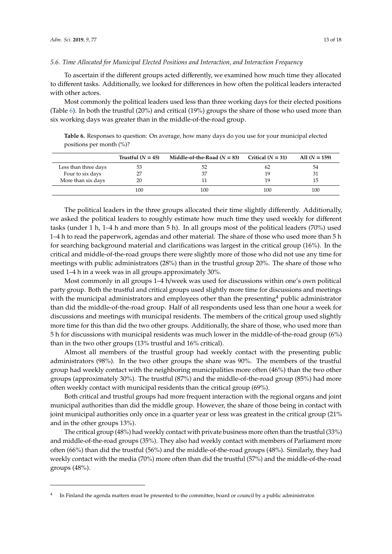To ascertain if the different groups acted differently, we examined how much time they allocated to different tasks. Additionally, we looked for differences in how often the political leaders interacted with other actors.

Most commonly the political leaders used less than three working days for their elected positions (Table [6\)](#page-12-0). In both the trustful (20%) and critical (19%) groups the share of those who used more than six working days was greater than in the middle-of-the-road group.

<span id="page-12-0"></span>**Table 6.** Responses to question: On average, how many days do you use for your municipal elected positions per month (%)?

|                      | Trustful $(N = 45)$ | Middle-of-the-Road $(N = 83)$ | Critical $(N = 31)$ | All $(N = 159)$ |
|----------------------|---------------------|-------------------------------|---------------------|-----------------|
| Less than three days | 53                  |                               | 62                  | 54              |
| Four to six days     | 27                  | 37                            | 19                  | 31              |
| More than six days   | 20                  |                               | 19                  | 15              |
|                      | 100                 | 100                           | 100                 | 100             |

The political leaders in the three groups allocated their time slightly differently. Additionally, we asked the political leaders to roughly estimate how much time they used weekly for different tasks (under 1 h, 1–4 h and more than 5 h). In all groups most of the political leaders (70%) used 1–4 h to read the paperwork, agendas and other material. The share of those who used more than 5 h for searching background material and clarifications was largest in the critical group (16%). In the critical and middle-of-the-road groups there were slightly more of those who did not use any time for meetings with public administrators (28%) than in the trustful group 20%. The share of those who used 1–4 h in a week was in all groups approximately 30%.

Most commonly in all groups 1–4 h/week was used for discussions within one's own political party group. Both the trustful and critical groups used slightly more time for discussions and meetings with the municipal administrators and employees other than the presenting<sup>4</sup> public administrator than did the middle-of-the-road group. Half of all respondents used less than one hour a week for discussions and meetings with municipal residents. The members of the critical group used slightly more time for this than did the two other groups. Additionally, the share of those, who used more than 5 h for discussions with municipal residents was much lower in the middle-of-the-road group (6%) than in the two other groups (13% trustful and 16% critical).

Almost all members of the trustful group had weekly contact with the presenting public administrators (98%). In the two other groups the share was 90%. The members of the trustful group had weekly contact with the neighboring municipalities more often (46%) than the two other groups (approximately 30%). The trustful (87%) and the middle-of-the-road group (85%) had more often weekly contact with municipal residents than the critical group (69%).

Both critical and trustful groups had more frequent interaction with the regional organs and joint municipal authorities than did the middle group. However, the share of those being in contact with joint municipal authorities only once in a quarter year or less was greatest in the critical group (21% and in the other groups 13%).

The critical group (48%) had weekly contact with private business more often than the trustful (33%) and middle-of-the-road groups (35%). They also had weekly contact with members of Parliament more often (66%) than did the trustful (56%) and the middle-of-the-road groups (48%). Similarly, they had weekly contact with the media (70%) more often than did the trustful (57%) and the middle-of-the-road groups (48%).

<sup>4</sup> In Finland the agenda matters must be presented to the committee, board or council by a public administrator.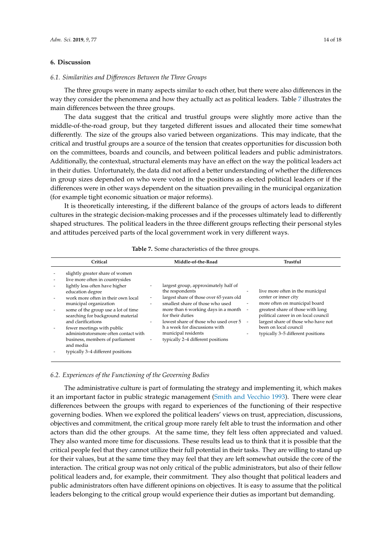## **6. Discussion**

#### *6.1. Similarities and Di*ff*erences Between the Three Groups*

The three groups were in many aspects similar to each other, but there were also differences in the way they consider the phenomena and how they actually act as political leaders. Table [7](#page-13-0) illustrates the main differences between the three groups.

The data suggest that the critical and trustful groups were slightly more active than the middle-of-the-road group, but they targeted different issues and allocated their time somewhat differently. The size of the groups also varied between organizations. This may indicate, that the critical and trustful groups are a source of the tension that creates opportunities for discussion both on the committees, boards and councils, and between political leaders and public administrators. Additionally, the contextual, structural elements may have an effect on the way the political leaders act in their duties. Unfortunately, the data did not afford a better understanding of whether the differences in group sizes depended on who were voted in the positions as elected political leaders or if the differences were in other ways dependent on the situation prevailing in the municipal organization (for example tight economic situation or major reforms).

It is theoretically interesting, if the different balance of the groups of actors leads to different cultures in the strategic decision-making processes and if the processes ultimately lead to differently shaped structures. The political leaders in the three different groups reflecting their personal styles and attitudes perceived parts of the local government work in very different ways.

<span id="page-13-0"></span>

| Critical                                                                                                                                                                                                                                                                                                                                                                                                                                               | Middle-of-the-Road                                                                                                                                                                                                                                                                                                                                                                                                           | Trustful                                                                                                                                                                                                                                                                                                                            |  |
|--------------------------------------------------------------------------------------------------------------------------------------------------------------------------------------------------------------------------------------------------------------------------------------------------------------------------------------------------------------------------------------------------------------------------------------------------------|------------------------------------------------------------------------------------------------------------------------------------------------------------------------------------------------------------------------------------------------------------------------------------------------------------------------------------------------------------------------------------------------------------------------------|-------------------------------------------------------------------------------------------------------------------------------------------------------------------------------------------------------------------------------------------------------------------------------------------------------------------------------------|--|
| slightly greater share of women<br>live more often in countrysides<br>lightly less often have higher<br>education degree<br>work more often in their own local<br>municipal organization<br>some of the group use a lot of time<br>searching for background material<br>and clarifications<br>fewer meetings with public<br>administratorsmore often contact with<br>business, members of parliament<br>and media<br>typically 3-4 different positions | largest group, approximately half of<br>the respondents<br>largest share of those over 65 years old<br>$\overline{\phantom{a}}$<br>smallest share of those who used<br>$\overline{\phantom{0}}$<br>more than 6 working days in a month<br>for their duties<br>lowest share of those who used over 5<br>$\overline{\phantom{a}}$<br>h a week for discussions with<br>municipal residents<br>typically 2-4 different positions | live more often in the municipal<br>$\overline{\phantom{a}}$<br>center or inner city<br>more often on municipal board<br>greatest share of those with long<br>political career in on local council<br>largest share of those who have not<br>been on local council<br>typically 3-5 different positions<br>$\overline{\phantom{a}}$ |  |

**Table 7.** Some characteristics of the three groups.

## *6.2. Experiences of the Functioning of the Governing Bodies*

The administrative culture is part of formulating the strategy and implementing it, which makes it an important factor in public strategic management [\(Smith and Vecchio](#page-17-19) [1993\)](#page-17-19). There were clear differences between the groups with regard to experiences of the functioning of their respective governing bodies. When we explored the political leaders' views on trust, appreciation, discussions, objectives and commitment, the critical group more rarely felt able to trust the information and other actors than did the other groups. At the same time, they felt less often appreciated and valued. They also wanted more time for discussions. These results lead us to think that it is possible that the critical people feel that they cannot utilize their full potential in their tasks. They are willing to stand up for their values, but at the same time they may feel that they are left somewhat outside the core of the interaction. The critical group was not only critical of the public administrators, but also of their fellow political leaders and, for example, their commitment. They also thought that political leaders and public administrators often have different opinions on objectives. It is easy to assume that the political leaders belonging to the critical group would experience their duties as important but demanding.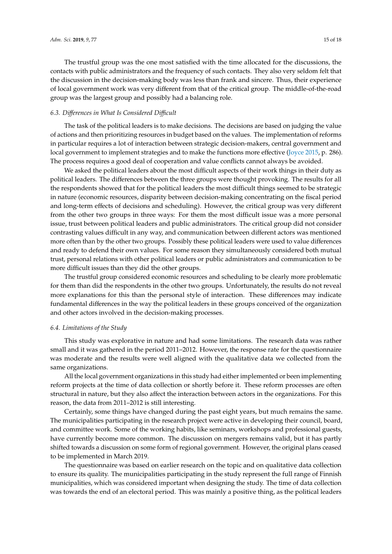The trustful group was the one most satisfied with the time allocated for the discussions, the contacts with public administrators and the frequency of such contacts. They also very seldom felt that the discussion in the decision-making body was less than frank and sincere. Thus, their experience of local government work was very different from that of the critical group. The middle-of-the-road group was the largest group and possibly had a balancing role.

# *6.3. Di*ff*erences in What Is Considered Di*ffi*cult*

The task of the political leaders is to make decisions. The decisions are based on judging the value of actions and then prioritizing resources in budget based on the values. The implementation of reforms in particular requires a lot of interaction between strategic decision-makers, central government and local government to implement strategies and to make the functions more effective [\(Joyce](#page-16-5) [2015,](#page-16-5) p. 286). The process requires a good deal of cooperation and value conflicts cannot always be avoided.

We asked the political leaders about the most difficult aspects of their work things in their duty as political leaders. The differences between the three groups were thought provoking. The results for all the respondents showed that for the political leaders the most difficult things seemed to be strategic in nature (economic resources, disparity between decision-making concentrating on the fiscal period and long-term effects of decisions and scheduling). However, the critical group was very different from the other two groups in three ways: For them the most difficult issue was a more personal issue, trust between political leaders and public administrators. The critical group did not consider contrasting values difficult in any way, and communication between different actors was mentioned more often than by the other two groups. Possibly these political leaders were used to value differences and ready to defend their own values. For some reason they simultaneously considered both mutual trust, personal relations with other political leaders or public administrators and communication to be more difficult issues than they did the other groups.

The trustful group considered economic resources and scheduling to be clearly more problematic for them than did the respondents in the other two groups. Unfortunately, the results do not reveal more explanations for this than the personal style of interaction. These differences may indicate fundamental differences in the way the political leaders in these groups conceived of the organization and other actors involved in the decision-making processes.

## *6.4. Limitations of the Study*

This study was explorative in nature and had some limitations. The research data was rather small and it was gathered in the period 2011–2012. However, the response rate for the questionnaire was moderate and the results were well aligned with the qualitative data we collected from the same organizations.

All the local government organizations in this study had either implemented or been implementing reform projects at the time of data collection or shortly before it. These reform processes are often structural in nature, but they also affect the interaction between actors in the organizations. For this reason, the data from 2011–2012 is still interesting.

Certainly, some things have changed during the past eight years, but much remains the same. The municipalities participating in the research project were active in developing their council, board, and committee work. Some of the working habits, like seminars, workshops and professional guests, have currently become more common. The discussion on mergers remains valid, but it has partly shifted towards a discussion on some form of regional government. However, the original plans ceased to be implemented in March 2019.

The questionnaire was based on earlier research on the topic and on qualitative data collection to ensure its quality. The municipalities participating in the study represent the full range of Finnish municipalities, which was considered important when designing the study. The time of data collection was towards the end of an electoral period. This was mainly a positive thing, as the political leaders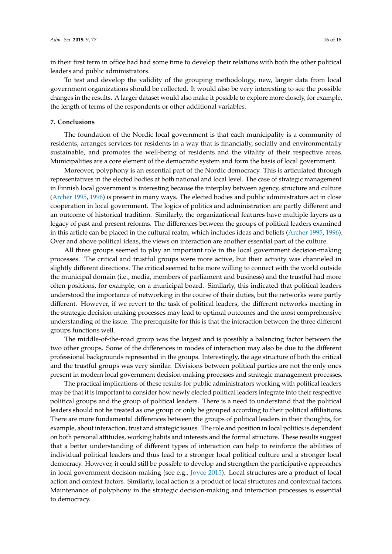in their first term in office had had some time to develop their relations with both the other political leaders and public administrators.

To test and develop the validity of the grouping methodology, new, larger data from local government organizations should be collected. It would also be very interesting to see the possible changes in the results. A larger dataset would also make it possible to explore more closely, for example, the length of terms of the respondents or other additional variables.

## **7. Conclusions**

The foundation of the Nordic local government is that each municipality is a community of residents, arranges services for residents in a way that is financially, socially and environmentally sustainable, and promotes the well-being of residents and the vitality of their respective areas. Municipalities are a core element of the democratic system and form the basis of local government.

Moreover, polyphony is an essential part of the Nordic democracy. This is articulated through representatives in the elected bodies at both national and local level. The case of strategic management in Finnish local government is interesting because the interplay between agency, structure and culture [\(Archer](#page-16-12) [1995,](#page-16-12) [1996\)](#page-16-13) is present in many ways. The elected bodies and public administrators act in close cooperation in local government. The logics of politics and administration are partly different and an outcome of historical tradition. Similarly, the organizational features have multiple layers as a legacy of past and present reforms. The differences between the groups of political leaders examined in this article can be placed in the cultural realm, which includes ideas and beliefs [\(Archer](#page-16-12) [1995,](#page-16-12) [1996\)](#page-16-13). Over and above political ideas, the views on interaction are another essential part of the culture.

All three groups seemed to play an important role in the local government decision-making processes. The critical and trustful groups were more active, but their activity was channeled in slightly different directions. The critical seemed to be more willing to connect with the world outside the municipal domain (i.e., media, members of parliament and business) and the trustful had more often positions, for example, on a municipal board. Similarly, this indicated that political leaders understood the importance of networking in the course of their duties, but the networks were partly different. However, if we revert to the task of political leaders, the different networks meeting in the strategic decision-making processes may lead to optimal outcomes and the most comprehensive understanding of the issue. The prerequisite for this is that the interaction between the three different groups functions well.

The middle-of-the-road group was the largest and is possibly a balancing factor between the two other groups. Some of the differences in modes of interaction may also be due to the different professional backgrounds represented in the groups. Interestingly, the age structure of both the critical and the trustful groups was very similar. Divisions between political parties are not the only ones present in modern local government decision-making processes and strategic management processes.

The practical implications of these results for public administrators working with political leaders may be that it is important to consider how newly elected political leaders integrate into their respective political groups and the group of political leaders. There is a need to understand that the political leaders should not be treated as one group or only be grouped according to their political affiliations. There are more fundamental differences between the groups of political leaders in their thoughts, for example, about interaction, trust and strategic issues. The role and position in local politics is dependent on both personal attitudes, working habits and interests and the formal structure. These results suggest that a better understanding of different types of interaction can help to reinforce the abilities of individual political leaders and thus lead to a stronger local political culture and a stronger local democracy. However, it could still be possible to develop and strengthen the participative approaches in local government decision-making (see e.g., [Joyce](#page-16-5) [2015\)](#page-16-5). Local structures are a product of local action and context factors. Similarly, local action is a product of local structures and contextual factors. Maintenance of polyphony in the strategic decision-making and interaction processes is essential to democracy.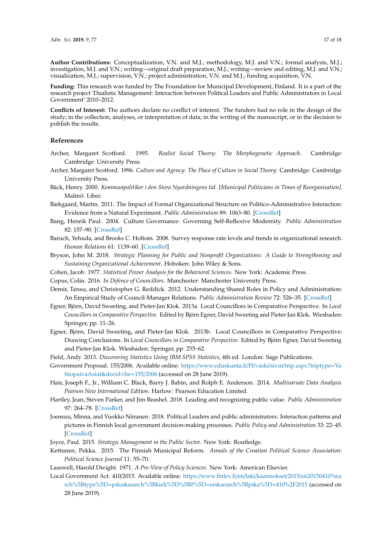**Author Contributions:** Conceptualization, V.N. and M.J.; methodology, M.J. and V.N.; formal analysis, M.J.; investigation, M.J. and V.N.; writing—original draft preparation, M.J.; writing—review and editing, M.J. and V.N.; visualization, M.J.; supervision, V.N.; project administration, V.N. and M.J.; funding acquisition, V.N.

**Funding:** This research was funded by The Foundation for Municipal Development, Finland. It is a part of the research project 'Dualistic Management: Interaction between Political Leaders and Public Administrators in Local Government' 2010–2012.

**Conflicts of Interest:** The authors declare no conflict of interest. The funders had no role in the design of the study; in the collection, analyses, or interpretation of data; in the writing of the manuscript, or in the decision to publish the results.

# **References**

- <span id="page-16-12"></span>Archer, Margaret Scotford. 1995. *Realist Social Theory: The Morphogenetic Approach*. Cambridge: Cambridge University Press.
- <span id="page-16-13"></span>Archer, Margaret Scotford. 1996. *Culture and Agency: The Place of Culture in Social Theory*. Cambridge: Cambridge University Press.
- <span id="page-16-14"></span>Bäck, Henry. 2000. *Kommunpolitiker i den Stora Nyordningens tid. [Municipal Politicians in Times of Reorganisation]*. Malmö: Liber.
- <span id="page-16-8"></span>Bækgaard, Martin. 2011. The Impact of Formal Organizational Structure on Politico-Administrative Interaction: Evidence from a Natural Experiment. *Public Administration* 89: 1063–80. [\[CrossRef\]](http://dx.doi.org/10.1111/j.1467-9299.2010.01872.x)
- <span id="page-16-1"></span>Bang, Henrik Paul. 2004. Culture Governance: Governing Self-Reflexive Modernity. *Public Administration* 82: 157–90. [\[CrossRef\]](http://dx.doi.org/10.1111/j.0033-3298.2004.00389.x)
- <span id="page-16-16"></span>Baruch, Yehuda, and Brooks C. Holtom. 2008. Survey response rate levels and trends in organizational research. *Human Relations* 61: 1139–60. [\[CrossRef\]](http://dx.doi.org/10.1177/0018726708094863)
- <span id="page-16-7"></span>Bryson, John M. 2018. *Strategic Planning for Public and Nonprofit Organizations: A Guide to Strengthening and Sustaining Organizational Achievement*. Hoboken: John Wiley & Sons.
- <span id="page-16-20"></span><span id="page-16-2"></span>Cohen, Jacob. 1977. *Statistical Power Analysis for the Behavioral Sciences*. New York: Academic Press.
- Copus, Colin. 2016. *In Defence of Councillors*. Manchester: Manchester University Press.
- <span id="page-16-15"></span>Demir, Tansu, and Christopher G. Reddick. 2012. Understanding Shared Roles in Policy and Administration: An Empirical Study of Council-Manager Relations. *Public Administration Review* 72: 526–35. [\[CrossRef\]](http://dx.doi.org/10.1111/j.1540-6210.2011.02551.x)
- <span id="page-16-4"></span>Egner, Björn, David Sweeting, and Pieter-Jan Klok. 2013a. Local Councillors in Comparative Perspective. In *Local Councillors in Comparative Perspective*. Edited by Björn Egner, David Sweeting and Pieter-Jan Klok. Wiesbaden: Springer, pp. 11–26.
- <span id="page-16-3"></span>Egner, Björn, David Sweeting, and Pieter-Jan Klok. 2013b. Local Councillors in Comparative Perspective: Drawing Conclusions. In *Local Councillors in Comparative Perspective*. Edited by Björn Egner, David Sweeting and Pieter-Jan Klok. Wiesbaden: Springer, pp. 255–62.
- <span id="page-16-19"></span>Field, Andy. 2013. *Discovering Statistics Using IBM SPSS Statistics*, 4th ed. London: Sage Publications.
- <span id="page-16-10"></span>Government Proposal. 155/2006. Available online: https://[www.eduskunta.fi](https://www.eduskunta.fi/FI/vaski/sivut/trip.aspx?triptype=ValtiopaivaAsiat&docid=he+155/2006)/FI/vaski/sivut/trip.aspx?triptype=Va [ltiopaivaAsiat&docid](https://www.eduskunta.fi/FI/vaski/sivut/trip.aspx?triptype=ValtiopaivaAsiat&docid=he+155/2006)=he+155/2006 (accessed on 28 June 2019).
- <span id="page-16-18"></span>Hair, Joseph F., Jr., William C. Black, Barry J. Babin, and Rolph E. Anderson. 2014. *Multivariate Data Analysis Pearson New International Edition*. Harlow: Pearson Education Limited.
- <span id="page-16-6"></span>Hartley, Jean, Steven Parker, and Jim Beashel. 2018. Leading and recognizing public value. *Public Administration* 97: 264–78. [\[CrossRef\]](http://dx.doi.org/10.1111/padm.12563)
- <span id="page-16-17"></span>Joensuu, Minna, and Vuokko Niiranen. 2018. Political Leaders and public administrators: Interaction patterns and pictures in Finnish local government decision-making processes. *Public Policy and Administration* 33: 22–45. [\[CrossRef\]](http://dx.doi.org/10.1177/0952076716673898)
- <span id="page-16-9"></span><span id="page-16-5"></span>Joyce, Paul. 2015. *Strategic Management in the Public Sector*. New York: Routledge.
- Kettunen, Pekka. 2015. The Finnish Municipal Reform. *Annals of the Croatian Political Science Association: Political Science Journal* 11: 55–70.
- <span id="page-16-11"></span>Lasswell, Harold Dwight. 1971. *A Pre-View of Policy Sciences*. New York: American Elsevier.
- <span id="page-16-0"></span>Local Government Act. 410/2015. Available online: https://www.finlex.fi/en/laki/kaannokset/2015/[en20150410?sea](https://www.finlex.fi/en/laki/kaannokset/2015/en20150410?search%5Btype%5D=pika&search%5Bkieli%5D%5B0%5D=en&search%5Bpika%5D=410%2F2015) rch%5Btype%5D=[pika&search%5Bkieli%5D%5B0%5D](https://www.finlex.fi/en/laki/kaannokset/2015/en20150410?search%5Btype%5D=pika&search%5Bkieli%5D%5B0%5D=en&search%5Bpika%5D=410%2F2015)=en&search%5Bpika%5D=410%2F2015 (accessed on 28 June 2019).